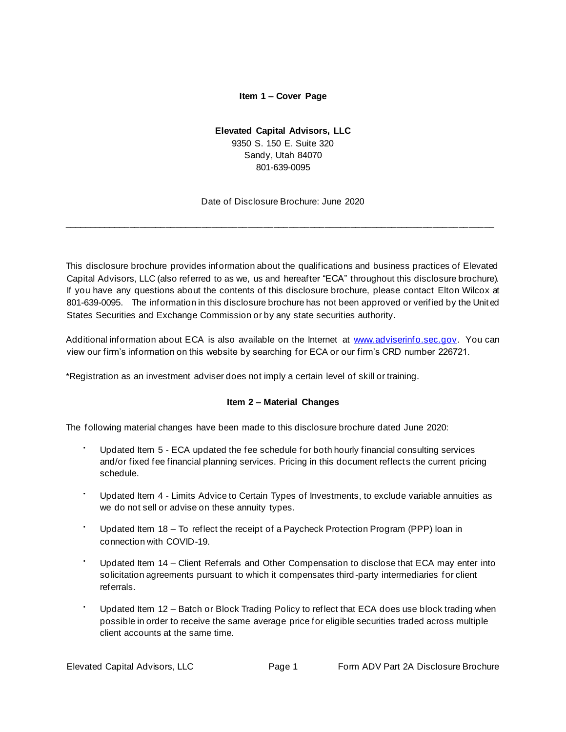### **Item 1 – Cover Page**

## **Elevated Capital Advisors, LLC**

9350 S. 150 E. Suite 320 Sandy, Utah 84070 801-639-0095

Date of Disclosure Brochure: June 2020

<span id="page-0-0"></span>\_\_\_\_\_\_\_\_\_\_\_\_\_\_\_\_\_\_\_\_\_\_\_\_\_\_\_\_\_\_\_\_\_\_\_\_\_\_\_\_\_\_\_\_\_\_\_\_\_\_\_\_\_\_\_\_\_\_\_\_\_\_\_\_\_\_\_\_\_\_\_\_\_\_\_\_\_\_\_\_\_\_\_\_

This disclosure brochure provides information about the qualifications and business practices of Elevated Capital Advisors, LLC (also referred to as we, us and hereafter "ECA" throughout this disclosure brochure). If you have any questions about the contents of this disclosure brochure, please contact Elton Wilcox at 801-639-0095. The information in this disclosure brochure has not been approved or verified by the Unit ed States Securities and Exchange Commission or by any state securities authority.

Additional information about ECA is also available on the Internet at www.adviserinfo.sec.gov. You can view our firm's information on this website by searching for ECA or our firm's CRD number 226721.

<span id="page-0-1"></span>\*Registration as an investment adviser does not imply a certain level of skill or training.

## **Item 2 – Material Changes**

The following material changes have been made to this disclosure brochure dated June 2020:

- Updated Item 5 ECA updated the fee schedule for both hourly financial consulting services and/or fixed fee financial planning services. Pricing in this document reflect s the current pricing schedule.
- Updated Item 4 Limits Advice to Certain Types of Investments, to exclude variable annuities as we do not sell or advise on these annuity types.
- Updated Item 18 To reflect the receipt of a Paycheck Protection Program (PPP) loan in connection with COVID-19.
- Updated Item 14 Client Referrals and Other Compensation to disclose that ECA may enter into solicitation agreements pursuant to which it compensates third -party intermediaries for client referrals.
- Updated Item 12 Batch or Block Trading Policy to reflect that ECA does use block trading when possible in order to receive the same average price for eligible securities traded across multiple client accounts at the same time.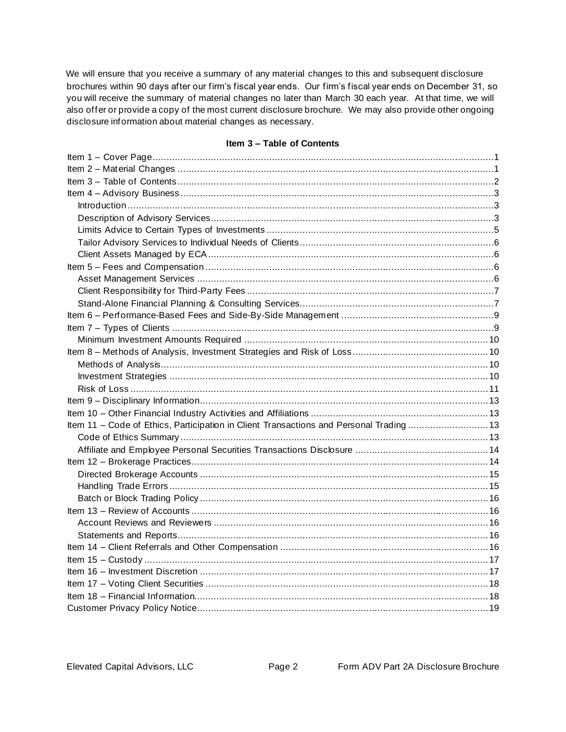We will ensure that you receive a summary of any material changes to this and subsequent disclosure brochures within 90 days after our firm's fiscal year ends. Our firm's fiscal year ends on December 31, so you will receive the summary of material changes no later than March 30 each year. At that time, we will also offer or provide a copy of the most current disclosure brochure. We may also provide other ongoing disclosure information about material changes as necessary.

### **Item 3 – Table of Contents**

<span id="page-1-0"></span>

| Item 11 - Code of Ethics, Participation in Client Transactions and Personal Trading  13 |  |
|-----------------------------------------------------------------------------------------|--|
|                                                                                         |  |
|                                                                                         |  |
|                                                                                         |  |
|                                                                                         |  |
|                                                                                         |  |
|                                                                                         |  |
|                                                                                         |  |
|                                                                                         |  |
|                                                                                         |  |
|                                                                                         |  |
|                                                                                         |  |
|                                                                                         |  |
|                                                                                         |  |
|                                                                                         |  |
|                                                                                         |  |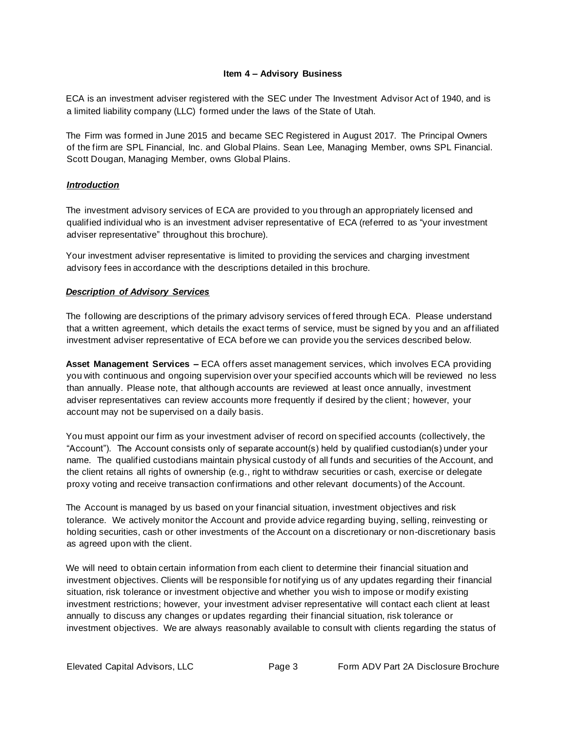### **Item 4 – Advisory Business**

<span id="page-2-0"></span>ECA is an investment adviser registered with the SEC under The Investment Advisor Act of 1940, and is a limited liability company (LLC) formed under the laws of the State of Utah.

The Firm was formed in June 2015 and became SEC Registered in August 2017. The Principal Owners of the firm are SPL Financial, Inc. and Global Plains. Sean Lee, Managing Member, owns SPL Financial. Scott Dougan, Managing Member, owns Global Plains.

### <span id="page-2-1"></span>*Introduction*

The investment advisory services of ECA are provided to you through an appropriately licensed and qualified individual who is an investment adviser representative of ECA (referred to as "your investment adviser representative" throughout this brochure).

Your investment adviser representative is limited to providing the services and charging investment advisory fees in accordance with the descriptions detailed in this brochure.

### <span id="page-2-2"></span>*Description of Advisory Services*

The following are descriptions of the primary advisory services of fered through ECA. Please understand that a written agreement, which details the exact terms of service, must be signed by you and an affiliated investment adviser representative of ECA before we can provide you the services described below.

**Asset Management Services –** ECA offers asset management services, which involves ECA providing you with continuous and ongoing supervision over your specified accounts which will be reviewed no less than annually. Please note, that although accounts are reviewed at least once annually, investment adviser representatives can review accounts more frequently if desired by the client; however, your account may not be supervised on a daily basis.

You must appoint our firm as your investment adviser of record on specified accounts (collectively, the "Account"). The Account consists only of separate account(s) held by qualified custodian(s) under your name. The qualified custodians maintain physical custody of all funds and securities of the Account, and the client retains all rights of ownership (e.g., right to withdraw securities or cash, exercise or delegate proxy voting and receive transaction confirmations and other relevant documents) of the Account.

The Account is managed by us based on your financial situation, investment objectives and risk tolerance. We actively monitor the Account and provide advice regarding buying, selling, reinvesting or holding securities, cash or other investments of the Account on a discretionary or non-discretionary basis as agreed upon with the client.

We will need to obtain certain information from each client to determine their financial situation and investment objectives. Clients will be responsible for notifying us of any updates regarding their financial situation, risk tolerance or investment objective and whether you wish to impose or modify existing investment restrictions; however, your investment adviser representative will contact each client at least annually to discuss any changes or updates regarding their financial situation, risk tolerance or investment objectives. We are always reasonably available to consult with clients regarding the status of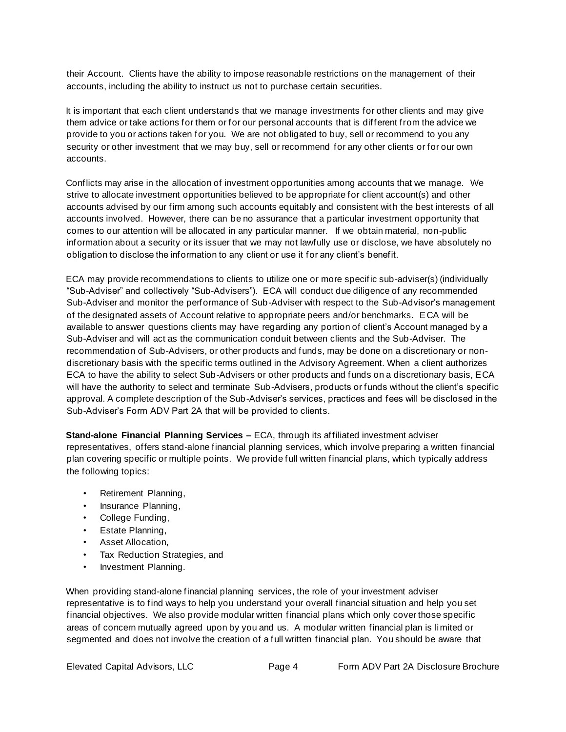their Account. Clients have the ability to impose reasonable restrictions on the management of their accounts, including the ability to instruct us not to purchase certain securities.

It is important that each client understands that we manage investments for other clients and may give them advice or take actions for them or for our personal accounts that is different from the advice we provide to you or actions taken for you. We are not obligated to buy, sell or recommend to you any security or other investment that we may buy, sell or recommend for any other clients or for our own accounts.

Conflicts may arise in the allocation of investment opportunities among accounts that we manage. We strive to allocate investment opportunities believed to be appropriate for client account(s) and other accounts advised by our firm among such accounts equitably and consistent with the best interests of all accounts involved. However, there can be no assurance that a particular investment opportunity that comes to our attention will be allocated in any particular manner. If we obtain material, non-public information about a security or its issuer that we may not lawfully use or disclose, we have absolutely no obligation to disclose the information to any client or use it for any client's benefit.

ECA may provide recommendations to clients to utilize one or more specific sub-adviser(s) (individually "Sub-Adviser" and collectively "Sub-Advisers"). ECA will conduct due diligence of any recommended Sub-Adviser and monitor the performance of Sub-Adviser with respect to the Sub-Advisor's management of the designated assets of Account relative to appropriate peers and/or benchmarks. ECA will be available to answer questions clients may have regarding any portion of client's Account managed by a Sub-Adviser and will act as the communication conduit between clients and the Sub-Adviser. The recommendation of Sub-Advisers, or other products and funds, may be done on a discretionary or nondiscretionary basis with the specific terms outlined in the Advisory Agreement. When a client authorizes ECA to have the ability to select Sub-Advisers or other products and funds on a discretionary basis, ECA will have the authority to select and terminate Sub-Advisers, products or funds without the client's specific approval. A complete description of the Sub-Adviser's services, practices and fees will be disclosed in the Sub-Adviser's Form ADV Part 2A that will be provided to clients.

**Stand-alone Financial Planning Services –** ECA, through its affiliated investment adviser representatives, offers stand-alone financial planning services, which involve preparing a written financial plan covering specific or multiple points. We provide full written financial plans, which typically address the following topics:

- Retirement Planning,
- Insurance Planning,
- College Funding,
- Estate Planning,
- Asset Allocation,
- Tax Reduction Strategies, and
- Investment Planning.

When providing stand-alone financial planning services, the role of your investment adviser representative is to find ways to help you understand your overall financial situation and help you set financial objectives. We also provide modular written financial plans which only cover those specific areas of concern mutually agreed upon by you and us. A modular written financial plan is limited or segmented and does not involve the creation of a full written financial plan. You should be aware that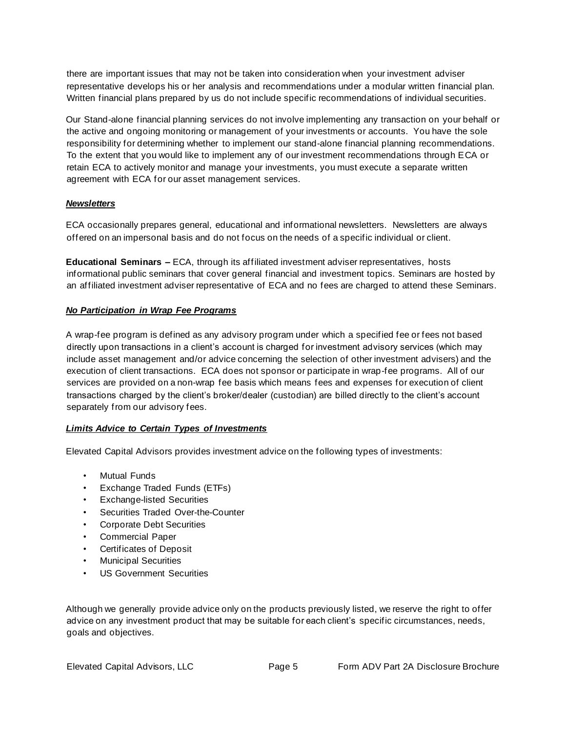there are important issues that may not be taken into consideration when your investment adviser representative develops his or her analysis and recommendations under a modular written financial plan. Written financial plans prepared by us do not include specific recommendations of individual securities.

Our Stand-alone financial planning services do not involve implementing any transaction on your behalf or the active and ongoing monitoring or management of your investments or accounts. You have the sole responsibility for determining whether to implement our stand-alone financial planning recommendations. To the extent that you would like to implement any of our investment recommendations through ECA or retain ECA to actively monitor and manage your investments, you must execute a separate written agreement with ECA for our asset management services.

### *Newsletters*

ECA occasionally prepares general, educational and informational newsletters. Newsletters are always offered on an impersonal basis and do not focus on the needs of a specific individual or client.

**Educational Seminars –** ECA, through its affiliated investment adviser representatives, hosts informational public seminars that cover general financial and investment topics. Seminars are hosted by an affiliated investment adviser representative of ECA and no fees are charged to attend these Seminars.

### *No Participation in Wrap Fee Programs*

A wrap-fee program is defined as any advisory program under which a specified fee or fees not based directly upon transactions in a client's account is charged for investment advisory services (which may include asset management and/or advice concerning the selection of other investment advisers) and the execution of client transactions. ECA does not sponsor or participate in wrap-fee programs. All of our services are provided on a non-wrap fee basis which means fees and expenses for execution of client transactions charged by the client's broker/dealer (custodian) are billed directly to the client's account separately from our advisory fees.

#### <span id="page-4-0"></span>*Limits Advice to Certain Types of Investments*

Elevated Capital Advisors provides investment advice on the following types of investments:

- Mutual Funds
- Exchange Traded Funds (ETFs)
- Exchange-listed Securities
- Securities Traded Over-the-Counter
- Corporate Debt Securities
- Commercial Paper
- Certificates of Deposit
- Municipal Securities
- US Government Securities

Although we generally provide advice only on the products previously listed, we reserve the right to offer advice on any investment product that may be suitable for each client's specific circumstances, needs, goals and objectives.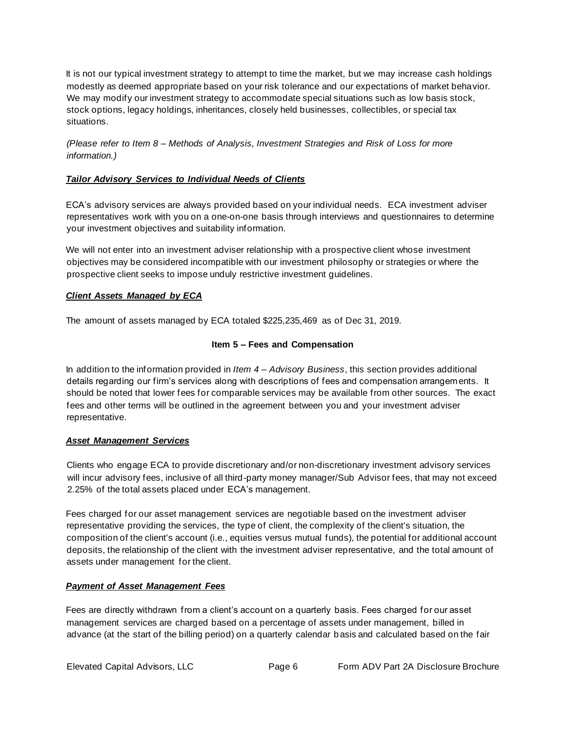It is not our typical investment strategy to attempt to time the market, but we may increase cash holdings modestly as deemed appropriate based on your risk tolerance and our expectations of market behavior. We may modify our investment strategy to accommodate special situations such as low basis stock, stock options, legacy holdings, inheritances, closely held businesses, collectibles, or special tax situations.

*(Please refer to Item 8 – Methods of Analysis, Investment Strategies and Risk of Loss for more information.)* 

### <span id="page-5-0"></span>*Tailor Advisory Services to Individual Needs of Clients*

ECA's advisory services are always provided based on your individual needs. ECA investment adviser representatives work with you on a one-on-one basis through interviews and questionnaires to determine your investment objectives and suitability information.

We will not enter into an investment adviser relationship with a prospective client whose investment objectives may be considered incompatible with our investment philosophy or strategies or where the prospective client seeks to impose unduly restrictive investment guidelines.

#### <span id="page-5-1"></span>*Client Assets Managed by ECA*

<span id="page-5-2"></span>The amount of assets managed by ECA totaled \$225,235,469 as of Dec 31, 2019.

### **Item 5 – Fees and Compensation**

In addition to the information provided in *Item 4 – Advisory Business*, this section provides additional details regarding our firm's services along with descriptions of fees and compensation arrangements. It should be noted that lower fees for comparable services may be available from other sources. The exact fees and other terms will be outlined in the agreement between you and your investment adviser representative.

#### <span id="page-5-3"></span>*Asset Management Services*

Clients who engage ECA to provide discretionary and/or non-discretionary investment advisory services will incur advisory fees, inclusive of all third-party money manager/Sub Advisor fees, that may not exceed 2.25% of the total assets placed under ECA's management.

Fees charged for our asset management services are negotiable based on the investment adviser representative providing the services, the type of client, the complexity of the client's situation, the composition of the client's account (i.e., equities versus mutual funds), the potential for additional account deposits, the relationship of the client with the investment adviser representative, and the total amount of assets under management for the client.

#### *Payment of Asset Management Fees*

Fees are directly withdrawn from a client's account on a quarterly basis. Fees charged for our asset management services are charged based on a percentage of assets under management, billed in advance (at the start of the billing period) on a quarterly calendar basis and calculated based on the fair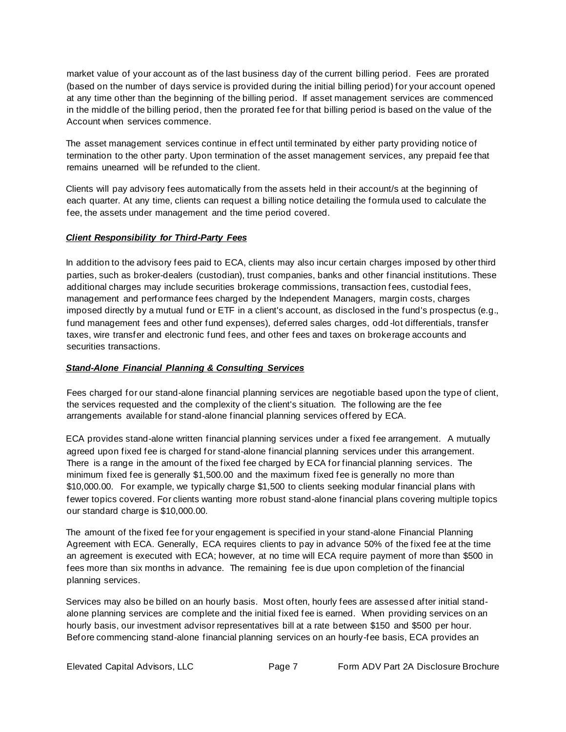market value of your account as of the last business day of the current billing period. Fees are prorated (based on the number of days service is provided during the initial billing period) for your account opened at any time other than the beginning of the billing period. If asset management services are commenced in the middle of the billing period, then the prorated fee for that billing period is based on the value of the Account when services commence.

The asset management services continue in effect until terminated by either party providing notice of termination to the other party. Upon termination of the asset management services, any prepaid fee that remains unearned will be refunded to the client.

Clients will pay advisory fees automatically from the assets held in their account/s at the beginning of each quarter. At any time, clients can request a billing notice detailing the formula used to calculate the fee, the assets under management and the time period covered.

### <span id="page-6-0"></span>*Client Responsibility for Third-Party Fees*

In addition to the advisory fees paid to ECA, clients may also incur certain charges imposed by other third parties, such as broker-dealers (custodian), trust companies, banks and other financial institutions. These additional charges may include securities brokerage commissions, transaction fees, custodial fees, management and performance fees charged by the Independent Managers, margin costs, charges imposed directly by a mutual fund or ETF in a client's account, as disclosed in the fund's prospectus (e.g., fund management fees and other fund expenses), deferred sales charges, odd -lot differentials, transfer taxes, wire transfer and electronic fund fees, and other fees and taxes on brokerage accounts and securities transactions.

#### <span id="page-6-1"></span>*Stand-Alone Financial Planning & Consulting Services*

Fees charged for our stand-alone financial planning services are negotiable based upon the type of client, the services requested and the complexity of the client's situation. The following are the fee arrangements available for stand-alone financial planning services offered by ECA.

ECA provides stand-alone written financial planning services under a fixed fee arrangement. A mutually agreed upon fixed fee is charged for stand-alone financial planning services under this arrangement. There is a range in the amount of the fixed fee charged by ECA for financial planning services. The minimum fixed fee is generally \$1,500.00 and the maximum fixed fee is generally no more than \$10,000.00. For example, we typically charge \$1,500 to clients seeking modular financial plans with fewer topics covered. For clients wanting more robust stand-alone financial plans covering multiple topics our standard charge is \$10,000.00.

The amount of the fixed fee for your engagement is specified in your stand-alone Financial Planning Agreement with ECA. Generally, ECA requires clients to pay in advance 50% of the fixed fee at the time an agreement is executed with ECA; however, at no time will ECA require payment of more than \$500 in fees more than six months in advance. The remaining fee is due upon completion of the financial planning services.

Services may also be billed on an hourly basis. Most often, hourly fees are assessed after initial standalone planning services are complete and the initial fixed fee is earned. When providing services on an hourly basis, our investment advisor representatives bill at a rate between \$150 and \$500 per hour. Before commencing stand-alone financial planning services on an hourly-fee basis, ECA provides an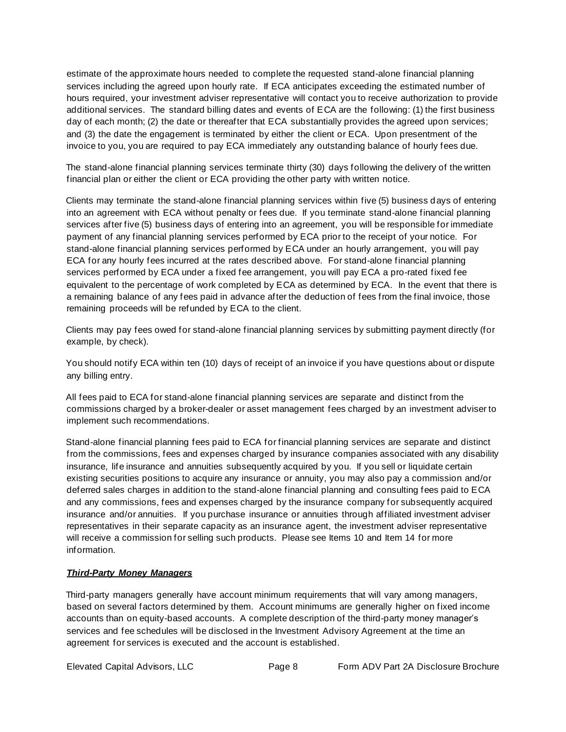estimate of the approximate hours needed to complete the requested stand-alone financial planning services including the agreed upon hourly rate. If ECA anticipates exceeding the estimated number of hours required, your investment adviser representative will contact you to receive authorization to provide additional services. The standard billing dates and events of ECA are the following: (1) the first business day of each month; (2) the date or thereafter that ECA substantially provides the agreed upon services; and (3) the date the engagement is terminated by either the client or ECA. Upon presentment of the invoice to you, you are required to pay ECA immediately any outstanding balance of hourly fees due.

The stand-alone financial planning services terminate thirty (30) days following the delivery of the written financial plan or either the client or ECA providing the other party with written notice.

Clients may terminate the stand-alone financial planning services within five (5) business days of entering into an agreement with ECA without penalty or fees due. If you terminate stand-alone financial planning services after five (5) business days of entering into an agreement, you will be responsible for immediate payment of any financial planning services performed by ECA prior to the receipt of your notice. For stand-alone financial planning services performed by ECA under an hourly arrangement, you will pay ECA for any hourly fees incurred at the rates described above. For stand-alone financial planning services performed by ECA under a fixed fee arrangement, you will pay ECA a pro-rated fixed fee equivalent to the percentage of work completed by ECA as determined by ECA. In the event that there is a remaining balance of any fees paid in advance after the deduction of fees from the final invoice, those remaining proceeds will be refunded by ECA to the client.

Clients may pay fees owed for stand-alone financial planning services by submitting payment directly (for example, by check).

You should notify ECA within ten (10) days of receipt of an invoice if you have questions about or dispute any billing entry.

All fees paid to ECA for stand-alone financial planning services are separate and distinct from the commissions charged by a broker-dealer or asset management fees charged by an investment adviser to implement such recommendations.

Stand-alone financial planning fees paid to ECA for financial planning services are separate and distinct from the commissions, fees and expenses charged by insurance companies associated with any disability insurance, life insurance and annuities subsequently acquired by you. If you sell or liquidate certain existing securities positions to acquire any insurance or annuity, you may also pay a commission and/or deferred sales charges in addition to the stand-alone financial planning and consulting fees paid to ECA and any commissions, fees and expenses charged by the insurance company for subsequently acquired insurance and/or annuities. If you purchase insurance or annuities through affiliated investment adviser representatives in their separate capacity as an insurance agent, the investment adviser representative will receive a commission for selling such products. Please see Items 10 and Item 14 for more information.

#### *Third-Party Money Managers*

Third-party managers generally have account minimum requirements that will vary among managers, based on several factors determined by them. Account minimums are generally higher on fixed income accounts than on equity-based accounts. A complete description of the third-party money manager's services and fee schedules will be disclosed in the Investment Advisory Agreement at the time an agreement for services is executed and the account is established.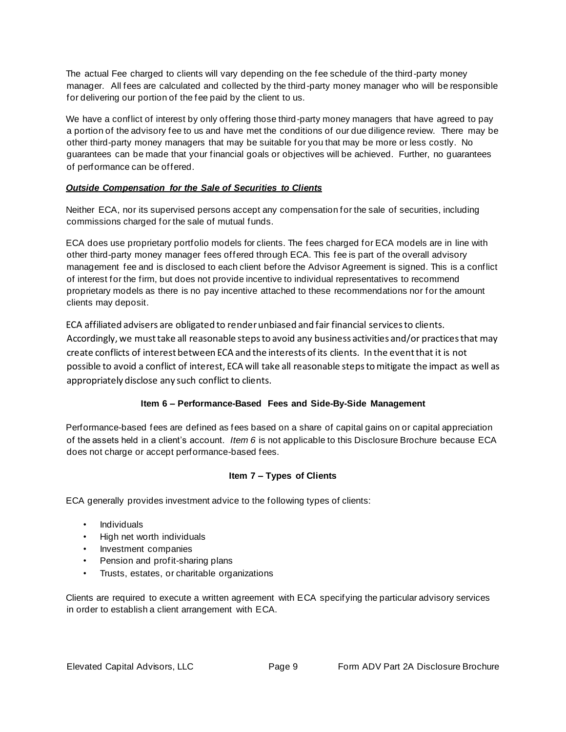The actual Fee charged to clients will vary depending on the fee schedule of the third-party money manager. All fees are calculated and collected by the third-party money manager who will be responsible for delivering our portion of the fee paid by the client to us.

We have a conflict of interest by only offering those third-party money managers that have agreed to pay a portion of the advisory fee to us and have met the conditions of our due diligence review. There may be other third-party money managers that may be suitable for you that may be more or less costly. No guarantees can be made that your financial goals or objectives will be achieved. Further, no guarantees of performance can be offered.

## *Outside Compensation for the Sale of Securities to Clients*

Neither ECA, nor its supervised persons accept any compensation for the sale of securities, including commissions charged for the sale of mutual funds.

ECA does use proprietary portfolio models for clients. The fees charged for ECA models are in line with other third-party money manager fees offered through ECA. This fee is part of the overall advisory management fee and is disclosed to each client before the Advisor Agreement is signed. This is a conflict of interest for the firm, but does not provide incentive to individual representatives to recommend proprietary models as there is no pay incentive attached to these recommendations nor for the amount clients may deposit.

ECA affiliated advisers are obligated to render unbiased and fair financial services to clients. Accordingly, we must take all reasonable steps to avoid any business activities and/or practices that may create conflicts of interest between ECA and the interests of its clients. In the event that it is not possible to avoid a conflict of interest, ECA will take all reasonable steps to mitigate the impact as well as appropriately disclose any such conflict to clients.

# **Item 6 – Performance-Based Fees and Side-By-Side Management**

<span id="page-8-0"></span>Performance-based fees are defined as fees based on a share of capital gains on or capital appreciation of the assets held in a client's account. *Item 6* is not applicable to this Disclosure Brochure because ECA does not charge or accept performance-based fees.

## **Item 7 – Types of Clients**

<span id="page-8-1"></span>ECA generally provides investment advice to the following types of clients:

- Individuals
- High net worth individuals
- Investment companies
- Pension and profit-sharing plans
- Trusts, estates, or charitable organizations

Clients are required to execute a written agreement with ECA specifying the particular advisory services in order to establish a client arrangement with ECA.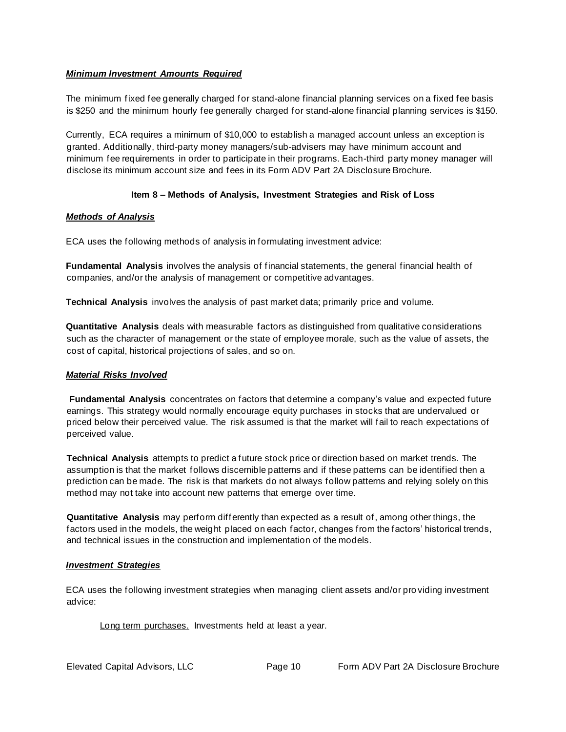### <span id="page-9-0"></span>*Minimum Investment Amounts Required*

The minimum fixed fee generally charged for stand-alone financial planning services on a fixed fee basis is \$250 and the minimum hourly fee generally charged for stand-alone financial planning services is \$150.

Currently, ECA requires a minimum of \$10,000 to establish a managed account unless an exception is granted. Additionally, third-party money managers/sub-advisers may have minimum account and minimum fee requirements in order to participate in their programs. Each-third party money manager will disclose its minimum account size and fees in its Form ADV Part 2A Disclosure Brochure.

### **Item 8 – Methods of Analysis, Investment Strategies and Risk of Loss**

### <span id="page-9-2"></span><span id="page-9-1"></span>*Methods of Analysis*

ECA uses the following methods of analysis in formulating investment advice:

**Fundamental Analysis** involves the analysis of financial statements, the general financial health of companies, and/or the analysis of management or competitive advantages.

**Technical Analysis** involves the analysis of past market data; primarily price and volume.

**Quantitative Analysis** deals with measurable factors as distinguished from qualitative considerations such as the character of management or the state of employee morale, such as the value of assets, the cost of capital, historical projections of sales, and so on.

#### *Material Risks Involved*

**Fundamental Analysis** concentrates on factors that determine a company's value and expected future earnings. This strategy would normally encourage equity purchases in stocks that are undervalued or priced below their perceived value. The risk assumed is that the market will fail to reach expectations of perceived value.

**Technical Analysis** attempts to predict a future stock price or direction based on market trends. The assumption is that the market follows discernible patterns and if these patterns can be identified then a prediction can be made. The risk is that markets do not always follow patterns and relying solely on this method may not take into account new patterns that emerge over time.

**Quantitative Analysis** may perform differently than expected as a result of, among other things, the factors used in the models, the weight placed on each factor, changes from the factors' historical trends, and technical issues in the construction and implementation of the models.

#### <span id="page-9-3"></span>*Investment Strategies*

ECA uses the following investment strategies when managing client assets and/or pro viding investment advice:

Long term purchases. Investments held at least a year.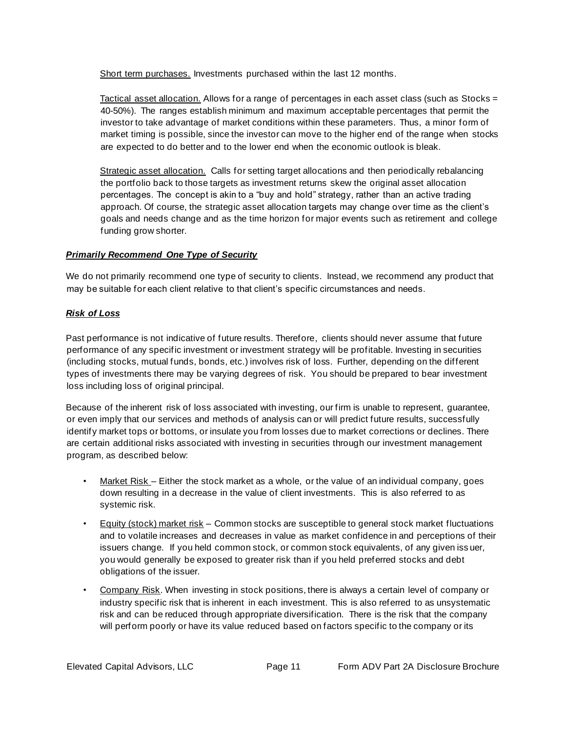Short term purchases. Investments purchased within the last 12 months.

Tactical asset allocation. Allows for a range of percentages in each asset class (such as Stocks = 40-50%). The ranges establish minimum and maximum acceptable percentages that permit the investor to take advantage of market conditions within these parameters. Thus, a minor form of market timing is possible, since the investor can move to the higher end of the range when stocks are expected to do better and to the lower end when the economic outlook is bleak.

Strategic asset allocation. Calls for setting target allocations and then periodically rebalancing the portfolio back to those targets as investment returns skew the original asset allocation percentages. The concept is akin to a "buy and hold" strategy, rather than an active trading approach. Of course, the strategic asset allocation targets may change over time as the client's goals and needs change and as the time horizon for major events such as retirement and college funding grow shorter.

### *Primarily Recommend One Type of Security*

We do not primarily recommend one type of security to clients. Instead, we recommend any product that may be suitable for each client relative to that client's specific circumstances and needs.

### <span id="page-10-0"></span>*Risk of Loss*

Past performance is not indicative of future results. Therefore, clients should never assume that future performance of any specific investment or investment strategy will be profitable. Investing in securities (including stocks, mutual funds, bonds, etc.) involves risk of loss. Further, depending on the different types of investments there may be varying degrees of risk. You should be prepared to bear investment loss including loss of original principal.

Because of the inherent risk of loss associated with investing, our firm is unable to represent, guarantee, or even imply that our services and methods of analysis can or will predict future results, successfully identify market tops or bottoms, or insulate you from losses due to market corrections or declines. There are certain additional risks associated with investing in securities through our investment management program, as described below:

- Market Risk Either the stock market as a whole, or the value of an individual company, goes down resulting in a decrease in the value of client investments. This is also referred to as systemic risk.
- Equity (stock) market risk Common stocks are susceptible to general stock market fluctuations and to volatile increases and decreases in value as market confidence in and perceptions of their issuers change. If you held common stock, or common stock equivalents, of any given iss uer, you would generally be exposed to greater risk than if you held preferred stocks and debt obligations of the issuer.
- Company Risk. When investing in stock positions, there is always a certain level of company or industry specific risk that is inherent in each investment. This is also referred to as unsystematic risk and can be reduced through appropriate diversification. There is the risk that the company will perform poorly or have its value reduced based on factors specific to the company or its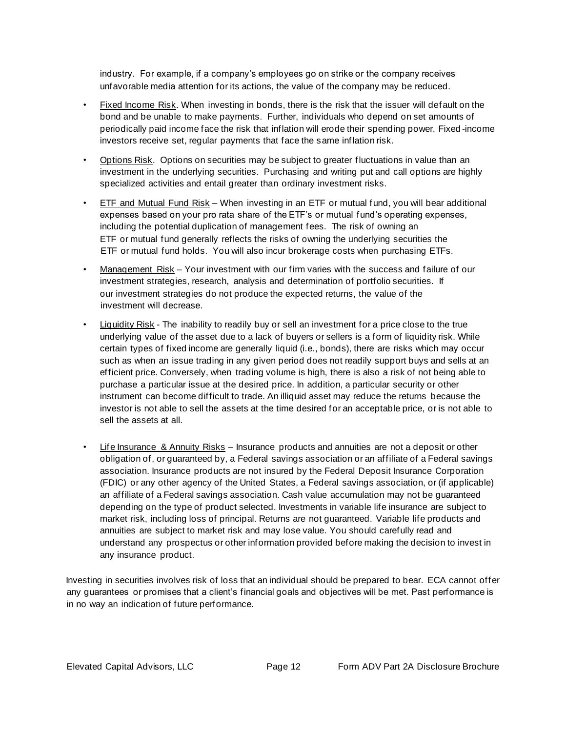industry. For example, if a company's employees go on strike or the company receives unfavorable media attention for its actions, the value of the company may be reduced.

- Fixed Income Risk. When investing in bonds, there is the risk that the issuer will default on the bond and be unable to make payments. Further, individuals who depend on set amounts of periodically paid income face the risk that inflation will erode their spending power. Fixed -income investors receive set, regular payments that face the same inflation risk.
- Options Risk. Options on securities may be subject to greater fluctuations in value than an investment in the underlying securities. Purchasing and writing put and call options are highly specialized activities and entail greater than ordinary investment risks.
- ETF and Mutual Fund Risk When investing in an ETF or mutual fund, you will bear additional expenses based on your pro rata share of the ETF's or mutual fund's operating expenses, including the potential duplication of management fees. The risk of owning an ETF or mutual fund generally reflects the risks of owning the underlying securities the ETF or mutual fund holds. You will also incur brokerage costs when purchasing ETFs.
- Management Risk Your investment with our firm varies with the success and failure of our investment strategies, research, analysis and determination of portfolio securities. If our investment strategies do not produce the expected returns, the value of the investment will decrease.
- Liquidity Risk The inability to readily buy or sell an investment for a price close to the true underlying value of the asset due to a lack of buyers or sellers is a form of liquidity risk. While certain types of fixed income are generally liquid (i.e., bonds), there are risks which may occur such as when an issue trading in any given period does not readily support buys and sells at an efficient price. Conversely, when trading volume is high, there is also a risk of not being able to purchase a particular issue at the desired price. In addition, a particular security or other instrument can become difficult to trade. An illiquid asset may reduce the returns because the investor is not able to sell the assets at the time desired for an acceptable price, or is not able to sell the assets at all.
- **Life Insurance & Annuity Risks** Insurance products and annuities are not a deposit or other obligation of, or guaranteed by, a Federal savings association or an affiliate of a Federal savings association. Insurance products are not insured by the Federal Deposit Insurance Corporation (FDIC) or any other agency of the United States, a Federal savings association, or (if applicable) an affiliate of a Federal savings association. Cash value accumulation may not be guaranteed depending on the type of product selected. Investments in variable life insurance are subject to market risk, including loss of principal. Returns are not guaranteed. Variable life products and annuities are subject to market risk and may lose value. You should carefully read and understand any prospectus or other information provided before making the decision to invest in any insurance product.

Investing in securities involves risk of loss that an individual should be prepared to bear. ECA cannot offer any guarantees or promises that a client's financial goals and objectives will be met. Past performance is in no way an indication of future performance.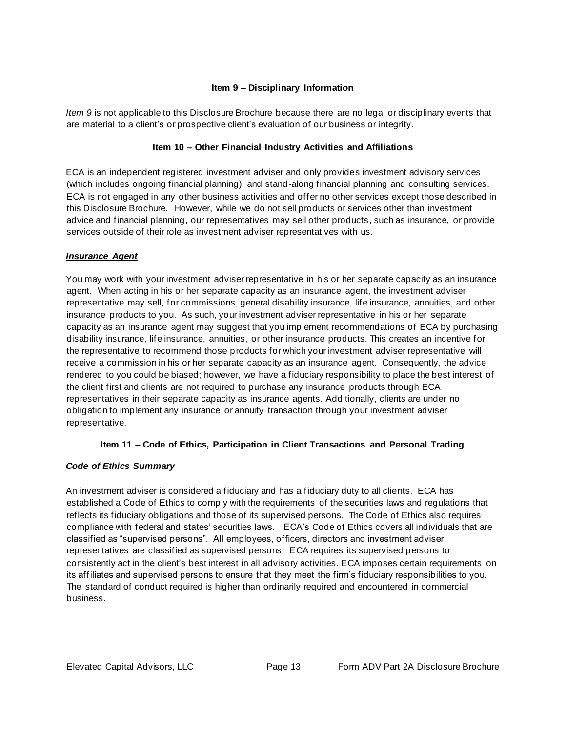### **Item 9 – Disciplinary Information**

<span id="page-12-0"></span>*Item 9* is not applicable to this Disclosure Brochure because there are no legal or disciplinary events that are material to a client's or prospective client's evaluation of our business or integrity.

## **Item 10 – Other Financial Industry Activities and Affiliations**

<span id="page-12-1"></span>ECA is an independent registered investment adviser and only provides investment advisory services (which includes ongoing financial planning), and stand-along financial planning and consulting services. ECA is not engaged in any other business activities and offer no other services except those described in this Disclosure Brochure. However, while we do not sell products or services other than investment advice and financial planning, our representatives may sell other products, such as insurance, or provide services outside of their role as investment adviser representatives with us.

### *Insurance Agent*

You may work with your investment adviser representative in his or her separate capacity as an insurance agent. When acting in his or her separate capacity as an insurance agent, the investment adviser representative may sell, for commissions, general disability insurance, life insurance, annuities, and other insurance products to you. As such, your investment adviser representative in his or her separate capacity as an insurance agent may suggest that you implement recommendations of ECA by purchasing disability insurance, life insurance, annuities, or other insurance products. This creates an incentive for the representative to recommend those products for which your investment adviser representative will receive a commission in his or her separate capacity as an insurance agent. Consequently, the advice rendered to you could be biased; however, we have a fiduciary responsibility to place the best interest of the client first and clients are not required to purchase any insurance products through ECA representatives in their separate capacity as insurance agents. Additionally, clients are under no obligation to implement any insurance or annuity transaction through your investment adviser representative.

## **Item 11 – Code of Ethics, Participation in Client Transactions and Personal Trading**

#### <span id="page-12-3"></span><span id="page-12-2"></span>*Code of Ethics Summary*

An investment adviser is considered a fiduciary and has a fiduciary duty to all clients. ECA has established a Code of Ethics to comply with the requirements of the securities laws and regulations that reflects its fiduciary obligations and those of its supervised persons. The Code of Ethics also requires compliance with federal and states' securities laws. ECA's Code of Ethics covers all individuals that are classified as "supervised persons". All employees, officers, directors and investment adviser representatives are classified as supervised persons. ECA requires its supervised persons to consistently act in the client's best interest in all advisory activities. ECA imposes certain requirements on its affiliates and supervised persons to ensure that they meet the firm's fiduciary responsibilities to you. The standard of conduct required is higher than ordinarily required and encountered in commercial business.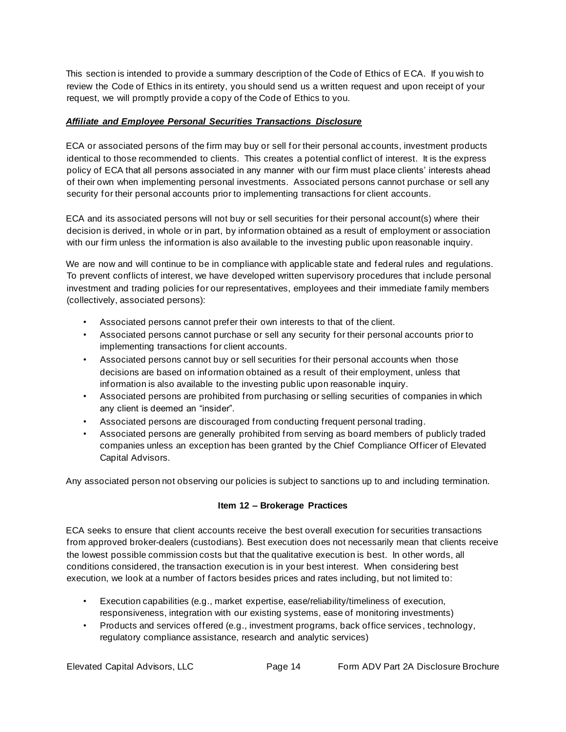This section is intended to provide a summary description of the Code of Ethics of ECA. If you wish to review the Code of Ethics in its entirety, you should send us a written request and upon receipt of your request, we will promptly provide a copy of the Code of Ethics to you.

### <span id="page-13-0"></span>*Affiliate and Employee Personal Securities Transactions Disclosure*

ECA or associated persons of the firm may buy or sell for their personal accounts, investment products identical to those recommended to clients. This creates a potential conflict of interest. It is the express policy of ECA that all persons associated in any manner with our firm must place clients' interests ahead of their own when implementing personal investments. Associated persons cannot purchase or sell any security for their personal accounts prior to implementing transactions for client accounts.

ECA and its associated persons will not buy or sell securities for their personal account(s) where their decision is derived, in whole or in part, by information obtained as a result of employment or association with our firm unless the information is also available to the investing public upon reasonable inquiry.

We are now and will continue to be in compliance with applicable state and federal rules and regulations. To prevent conflicts of interest, we have developed written supervisory procedures that include personal investment and trading policies for our representatives, employees and their immediate family members (collectively, associated persons):

- Associated persons cannot prefer their own interests to that of the client.
- Associated persons cannot purchase or sell any security for their personal accounts prior to implementing transactions for client accounts.
- Associated persons cannot buy or sell securities for their personal accounts when those decisions are based on information obtained as a result of their employment, unless that information is also available to the investing public upon reasonable inquiry.
- Associated persons are prohibited from purchasing or selling securities of companies in which any client is deemed an "insider".
- Associated persons are discouraged from conducting frequent personal trading.
- Associated persons are generally prohibited from serving as board members of publicly traded companies unless an exception has been granted by the Chief Compliance Officer of Elevated Capital Advisors.

<span id="page-13-1"></span>Any associated person not observing our policies is subject to sanctions up to and including termination.

## **Item 12 – Brokerage Practices**

ECA seeks to ensure that client accounts receive the best overall execution for securities transactions from approved broker-dealers (custodians). Best execution does not necessarily mean that clients receive the lowest possible commission costs but that the qualitative execution is best. In other words, all conditions considered, the transaction execution is in your best interest. When considering best execution, we look at a number of factors besides prices and rates including, but not limited to:

- Execution capabilities (e.g., market expertise, ease/reliability/timeliness of execution, responsiveness, integration with our existing systems, ease of monitoring investments)
- Products and services offered (e.g., investment programs, back office services , technology, regulatory compliance assistance, research and analytic services)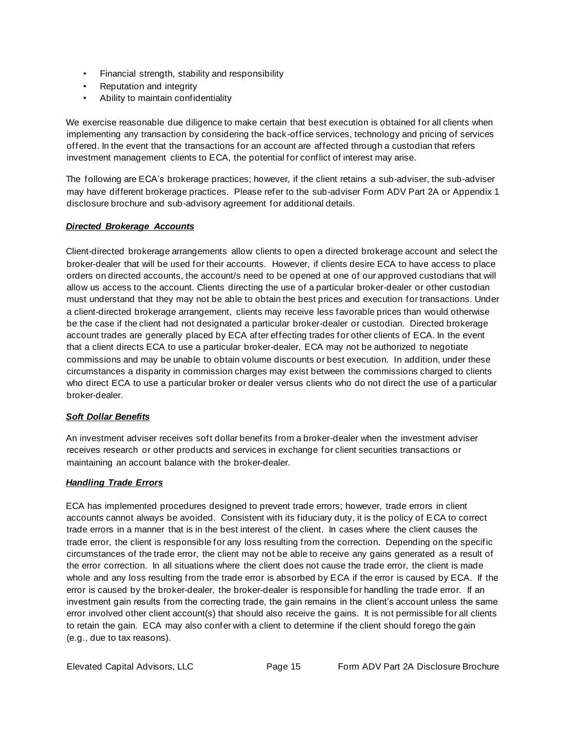- Financial strength, stability and responsibility
- Reputation and integrity
- Ability to maintain confidentiality

We exercise reasonable due diligence to make certain that best execution is obtained for all clients when implementing any transaction by considering the back-office services, technology and pricing of services offered. In the event that the transactions for an account are affected through a custodian that refers investment management clients to ECA, the potential for conflict of interest may arise.

The following are ECA's brokerage practices; however, if the client retains a sub-adviser, the sub-adviser may have different brokerage practices. Please refer to the sub-adviser Form ADV Part 2A or Appendix 1 disclosure brochure and sub-advisory agreement for additional details.

## <span id="page-14-0"></span>*Directed Brokerage Accounts*

Client-directed brokerage arrangements allow clients to open a directed brokerage account and select the broker-dealer that will be used for their accounts. However, if clients desire ECA to have access to place orders on directed accounts, the account/s need to be opened at one of our approved custodians that will allow us access to the account. Clients directing the use of a particular broker-dealer or other custodian must understand that they may not be able to obtain the best prices and execution for transactions. Under a client-directed brokerage arrangement, clients may receive less favorable prices than would otherwise be the case if the client had not designated a particular broker-dealer or custodian. Directed brokerage account trades are generally placed by ECA after effecting trades for other clients of ECA. In the event that a client directs ECA to use a particular broker-dealer, ECA may not be authorized to negotiate commissions and may be unable to obtain volume discounts or best execution. In addition, under these circumstances a disparity in commission charges may exist between the commissions charged to clients who direct ECA to use a particular broker or dealer versus clients who do not direct the use of a particular broker-dealer.

## *Soft Dollar Benefits*

An investment adviser receives soft dollar benefits from a broker-dealer when the investment adviser receives research or other products and services in exchange for client securities transactions or maintaining an account balance with the broker-dealer.

## <span id="page-14-1"></span>*Handling Trade Errors*

ECA has implemented procedures designed to prevent trade errors; however, trade errors in client accounts cannot always be avoided. Consistent with its fiduciary duty, it is the policy of ECA to correct trade errors in a manner that is in the best interest of the client. In cases where the client causes the trade error, the client is responsible for any loss resulting from the correction. Depending on the specific circumstances of the trade error, the client may not be able to receive any gains generated as a result of the error correction. In all situations where the client does not cause the trade error, the client is made whole and any loss resulting from the trade error is absorbed by ECA if the error is caused by ECA. If the error is caused by the broker-dealer, the broker-dealer is responsible for handling the trade error. If an investment gain results from the correcting trade, the gain remains in the client's account unless the same error involved other client account(s) that should also receive the gains. It is not permissible for all clients to retain the gain. ECA may also confer with a client to determine if the client should forego the gain (e.g., due to tax reasons).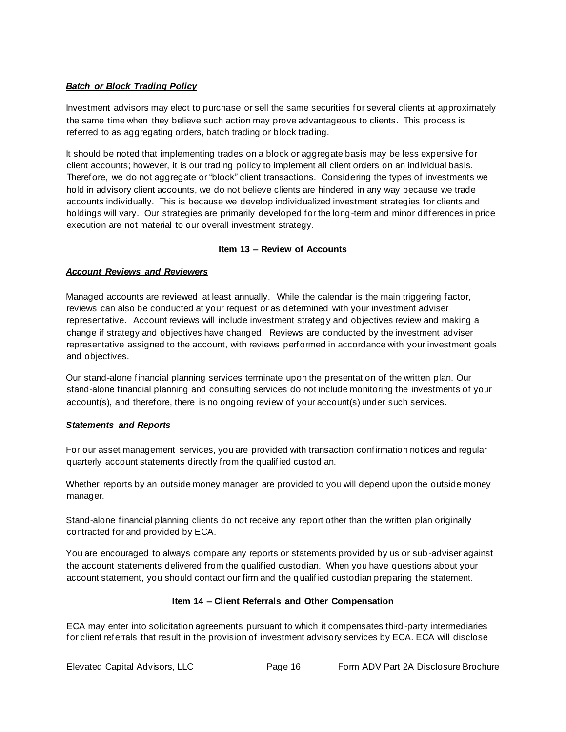## <span id="page-15-0"></span>*Batch or Block Trading Policy*

Investment advisors may elect to purchase or sell the same securities for several clients at approximately the same time when they believe such action may prove advantageous to clients. This process is referred to as aggregating orders, batch trading or block trading.

It should be noted that implementing trades on a block or aggregate basis may be less expensive for client accounts; however, it is our trading policy to implement all client orders on an individual basis. Therefore, we do not aggregate or "block" client transactions. Considering the types of investments we hold in advisory client accounts, we do not believe clients are hindered in any way because we trade accounts individually. This is because we develop individualized investment strategies for clients and holdings will vary. Our strategies are primarily developed for the long-term and minor differences in price execution are not material to our overall investment strategy.

### **Item 13 – Review of Accounts**

### <span id="page-15-2"></span><span id="page-15-1"></span>*Account Reviews and Reviewers*

Managed accounts are reviewed at least annually. While the calendar is the main triggering factor, reviews can also be conducted at your request or as determined with your investment adviser representative. Account reviews will include investment strategy and objectives review and making a change if strategy and objectives have changed. Reviews are conducted by the investment adviser representative assigned to the account, with reviews performed in accordance with your investment goals and objectives.

Our stand-alone financial planning services terminate upon the presentation of the written plan. Our stand-alone financial planning and consulting services do not include monitoring the investments of your account(s), and therefore, there is no ongoing review of your account(s) under such services.

#### <span id="page-15-3"></span>*Statements and Reports*

For our asset management services, you are provided with transaction confirmation notices and regular quarterly account statements directly from the qualified custodian.

Whether reports by an outside money manager are provided to you will depend upon the outside money manager.

Stand-alone financial planning clients do not receive any report other than the written plan originally contracted for and provided by ECA.

You are encouraged to always compare any reports or statements provided by us or sub -adviser against the account statements delivered from the qualified custodian. When you have questions about your account statement, you should contact our firm and the qualified custodian preparing the statement.

#### **Item 14 – Client Referrals and Other Compensation**

<span id="page-15-4"></span>ECA may enter into solicitation agreements pursuant to which it compensates third -party intermediaries for client referrals that result in the provision of investment advisory services by ECA. ECA will disclose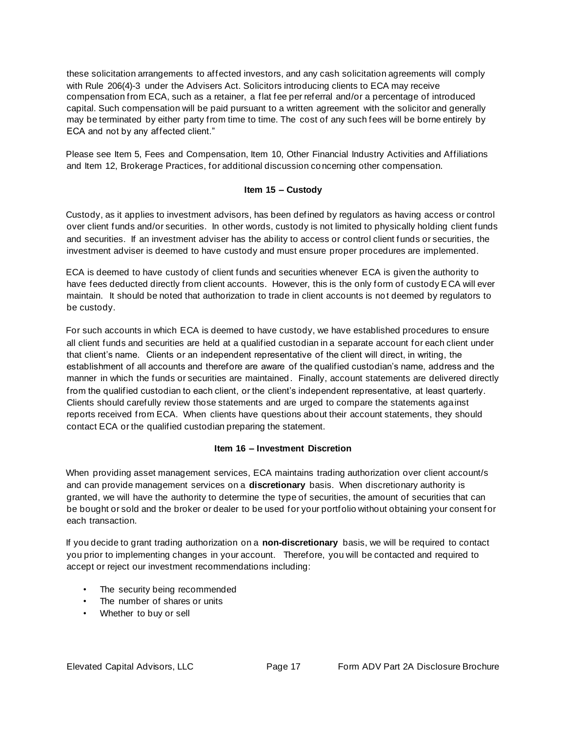these solicitation arrangements to affected investors, and any cash solicitation agreements will comply with Rule 206(4)-3 under the Advisers Act. Solicitors introducing clients to ECA may receive compensation from ECA, such as a retainer, a flat fee per referral and/or a percentage of introduced capital. Such compensation will be paid pursuant to a written agreement with the solicitor and generally may be terminated by either party from time to time. The cost of any such fees will be borne entirely by ECA and not by any affected client."

Please see Item 5, Fees and Compensation, Item 10, Other Financial Industry Activities and Affiliations and Item 12, Brokerage Practices, for additional discussion concerning other compensation.

#### **Item 15 – Custody**

<span id="page-16-0"></span>Custody, as it applies to investment advisors, has been defined by regulators as having access or control over client funds and/or securities. In other words, custody is not limited to physically holding client funds and securities. If an investment adviser has the ability to access or control client funds or securities, the investment adviser is deemed to have custody and must ensure proper procedures are implemented.

ECA is deemed to have custody of client funds and securities whenever ECA is given the authority to have fees deducted directly from client accounts. However, this is the only form of custody ECA will ever maintain. It should be noted that authorization to trade in client accounts is no t deemed by regulators to be custody.

For such accounts in which ECA is deemed to have custody, we have established procedures to ensure all client funds and securities are held at a qualified custodian in a separate account for each client under that client's name. Clients or an independent representative of the client will direct, in writing, the establishment of all accounts and therefore are aware of the qualified custodian's name, address and the manner in which the funds or securities are maintained. Finally, account statements are delivered directly from the qualified custodian to each client, or the client's independent representative, at least quarterly. Clients should carefully review those statements and are urged to compare the statements against reports received from ECA. When clients have questions about their account statements, they should contact ECA or the qualified custodian preparing the statement.

#### **Item 16 – Investment Discretion**

<span id="page-16-1"></span>When providing asset management services, ECA maintains trading authorization over client account/s and can provide management services on a **discretionary** basis. When discretionary authority is granted, we will have the authority to determine the type of securities, the amount of securities that can be bought or sold and the broker or dealer to be used for your portfolio without obtaining your consent for each transaction.

If you decide to grant trading authorization on a **non-discretionary** basis, we will be required to contact you prior to implementing changes in your account. Therefore, you will be contacted and required to accept or reject our investment recommendations including:

- The security being recommended
- The number of shares or units
- Whether to buy or sell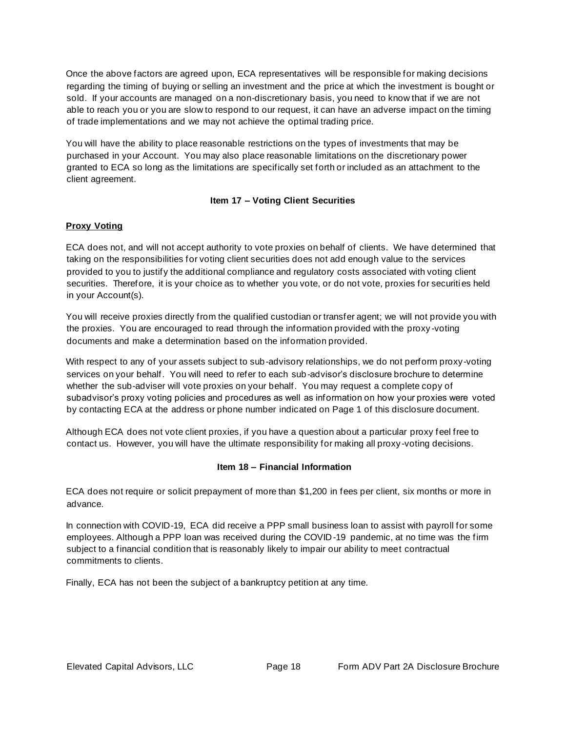Once the above factors are agreed upon, ECA representatives will be responsible for making decisions regarding the timing of buying or selling an investment and the price at which the investment is bought or sold. If your accounts are managed on a non-discretionary basis, you need to know that if we are not able to reach you or you are slow to respond to our request, it can have an adverse impact on the timing of trade implementations and we may not achieve the optimal trading price.

You will have the ability to place reasonable restrictions on the types of investments that may be purchased in your Account. You may also place reasonable limitations on the discretionary power granted to ECA so long as the limitations are specifically set forth or included as an attachment to the client agreement.

## **Item 17 – Voting Client Securities**

## <span id="page-17-0"></span>**Proxy Voting**

ECA does not, and will not accept authority to vote proxies on behalf of clients. We have determined that taking on the responsibilities for voting client securities does not add enough value to the services provided to you to justify the additional compliance and regulatory costs associated with voting client securities. Therefore, it is your choice as to whether you vote, or do not vote, proxies for securities held in your Account(s).

You will receive proxies directly from the qualified custodian or transfer agent; we will not provide you with the proxies. You are encouraged to read through the information provided with the proxy -voting documents and make a determination based on the information provided.

With respect to any of your assets subject to sub-advisory relationships, we do not perform proxy-voting services on your behalf. You will need to refer to each sub-advisor's disclosure brochure to determine whether the sub-adviser will vote proxies on your behalf. You may request a complete copy of subadvisor's proxy voting policies and procedures as well as information on how your proxies were voted by contacting ECA at the address or phone number indicated on Page 1 of this disclosure document.

Although ECA does not vote client proxies, if you have a question about a particular proxy feel free to contact us. However, you will have the ultimate responsibility for making all proxy -voting decisions.

## <span id="page-17-1"></span>**Item 18 – Financial Information**

ECA does not require or solicit prepayment of more than \$1,200 in fees per client, six months or more in advance.

In connection with COVID-19, ECA did receive a PPP small business loan to assist with payroll for some employees. Although a PPP loan was received during the COVID-19 pandemic, at no time was the firm subject to a financial condition that is reasonably likely to impair our ability to meet contractual commitments to clients.

Finally, ECA has not been the subject of a bankruptcy petition at any time.